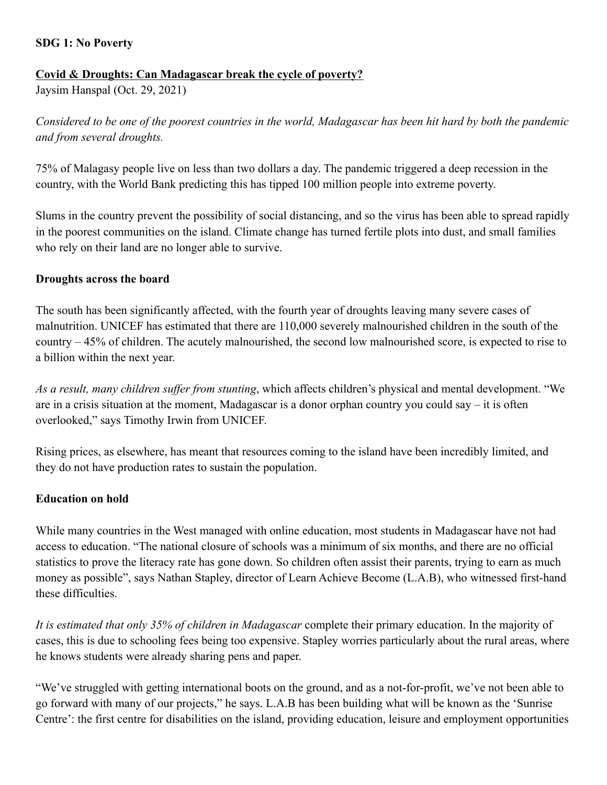### **SDG 1: No Poverty**

# **Covid & Droughts: Can Madagascar break the cycle of poverty?**

Jaysim Hanspal (Oct. 29, 2021)

*Considered to be one of the poorest countries in the world, Madagascar has been hit hard by both the pandemic and from several droughts.*

75% of Malagasy people live on less than two dollars a day. The pandemic triggered a deep recession in the country, with the World Bank predicting this has tipped 100 million people into extreme poverty.

Slums in the country prevent the possibility of social distancing, and so the virus has been able to spread rapidly in the poorest communities on the island. Climate change has turned fertile plots into dust, and small families who rely on their land are no longer able to survive.

#### **Droughts across the board**

The south has been significantly affected, with the fourth year of droughts leaving many severe cases of malnutrition. UNICEF has estimated that there are 110,000 severely malnourished children in the south of the country – 45% of children. The acutely malnourished, the second low malnourished score, is expected to rise to a billion within the next year.

*As a result, many children suffer from stunting*, which affects children's physical and mental development. "We are in a crisis situation at the moment, Madagascar is a donor orphan country you could say – it is often overlooked," says Timothy Irwin from UNICEF.

Rising prices, as elsewhere, has meant that resources coming to the island have been incredibly limited, and they do not have production rates to sustain the population.

#### **Education on hold**

While many countries in the West managed with online education, most students in Madagascar have not had access to education. "The national closure of schools was a minimum of six months, and there are no official statistics to prove the literacy rate has gone down. So children often assist their parents, trying to earn as much money as possible", says Nathan Stapley, director of Learn Achieve Become (L.A.B), who witnessed first-hand these difficulties.

*It is estimated that only 35% of children in Madagascar* complete their primary education. In the majority of cases, this is due to schooling fees being too expensive. Stapley worries particularly about the rural areas, where he knows students were already sharing pens and paper.

"We've struggled with getting international boots on the ground, and as a not-for-profit, we've not been able to go forward with many of our projects," he says. L.A.B has been building what will be known as the 'Sunrise Centre': the first centre for disabilities on the island, providing education, leisure and employment opportunities